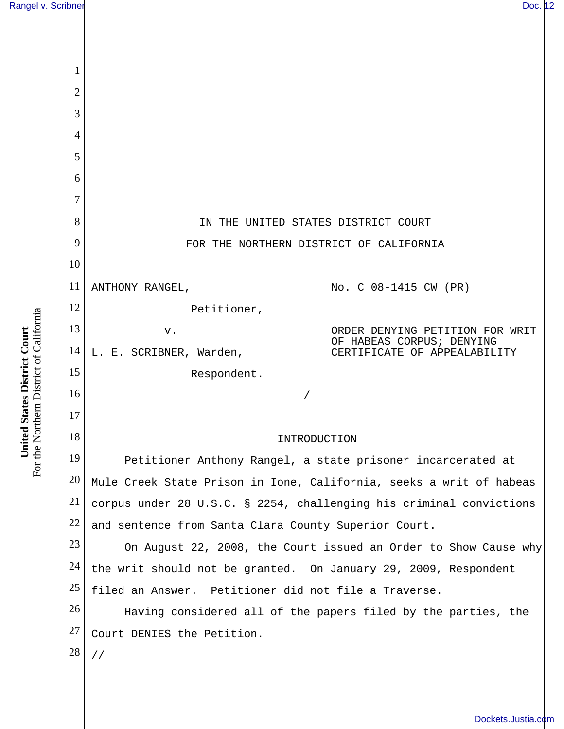| 1              |                                                                     |
|----------------|---------------------------------------------------------------------|
| $\overline{c}$ |                                                                     |
| 3              |                                                                     |
| 4              |                                                                     |
| 5              |                                                                     |
| 6              |                                                                     |
| 7              |                                                                     |
| 8              | IN THE UNITED STATES DISTRICT COURT                                 |
| 9              | FOR THE NORTHERN DISTRICT OF CALIFORNIA                             |
| 10             |                                                                     |
| 11             | ANTHONY RANGEL,<br>No. C 08-1415 CW (PR)                            |
| 12             | Petitioner,                                                         |
| 13             | ORDER DENYING PETITION FOR WRIT<br>V.<br>HABEAS CORPUS; DENYING     |
| 14             | L. E. SCRIBNER, Warden,<br>CERTIFICATE OF APPEALABILITY             |
| 15             | Respondent.                                                         |
| 16             |                                                                     |
| 17             |                                                                     |
| 18             | INTRODUCTION                                                        |
| 19             | Petitioner Anthony Rangel, a state prisoner incarcerated at         |
| 20             | Mule Creek State Prison in Ione, California, seeks a writ of habeas |
| 21             | corpus under 28 U.S.C. § 2254, challenging his criminal convictions |
| 22             | and sentence from Santa Clara County Superior Court.                |
| 23             | On August 22, 2008, the Court issued an Order to Show Cause why     |
| 24             | the writ should not be granted. On January 29, 2009, Respondent     |
| 25             | filed an Answer. Petitioner did not file a Traverse.                |
| 26             | Having considered all of the papers filed by the parties, the       |
| 27             | Court DENIES the Petition.                                          |
| 28             | $\frac{1}{2}$                                                       |
|                |                                                                     |

**United States District Court**<br>For the Northern District of California For the Northern District of California **United States District Court**

[Dockets.Justia.com](http://dockets.justia.com/)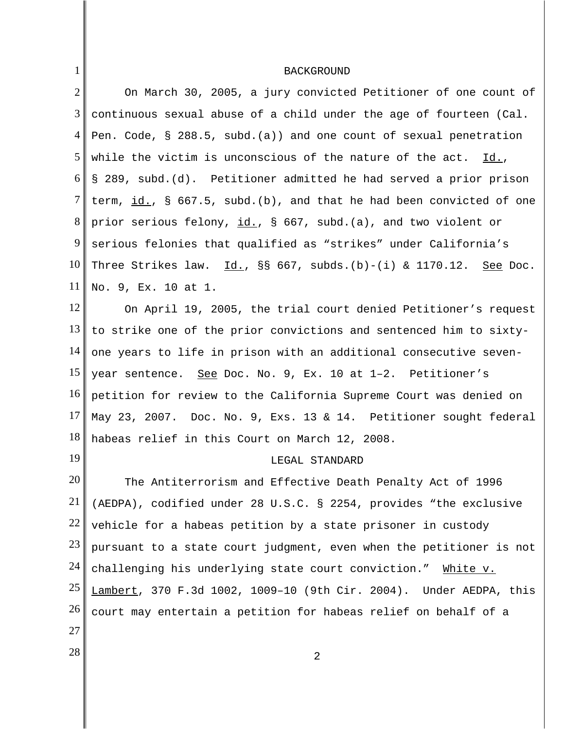## BACKGROUND

1

| $\overline{2}$ | On March 30, 2005, a jury convicted Petitioner of one count of                            |
|----------------|-------------------------------------------------------------------------------------------|
| 3              | continuous sexual abuse of a child under the age of fourteen (Cal.                        |
| $\overline{4}$ | Pen. Code, $\S$ 288.5, subd.(a)) and one count of sexual penetration                      |
| 5              | while the victim is unconscious of the nature of the act. $Id.$ ,                         |
| 6              | § 289, subd.(d). Petitioner admitted he had served a prior prison                         |
| 7              | term, $\underline{\text{id.}}$ , § 667.5, subd.(b), and that he had been convicted of one |
| 8              | prior serious felony, id., § 667, subd.(a), and two violent or                            |
| 9              | serious felonies that qualified as "strikes" under California's                           |
| 10             | Three Strikes law. $\underline{Id.}$ , §§ 667, subds.(b)-(i) & 1170.12. See Doc.          |
| 11             | No. 9, Ex. 10 at 1.                                                                       |
| 12             | On April 19, 2005, the trial court denied Petitioner's request                            |
| 13             | to strike one of the prior convictions and sentenced him to sixty-                        |
| 14             | one years to life in prison with an additional consecutive seven-                         |
| 15             | year sentence. See Doc. No. 9, Ex. 10 at 1-2. Petitioner's                                |
| 16             | petition for review to the California Supreme Court was denied on                         |
| 17             | May 23, 2007. Doc. No. 9, Exs. 13 & 14. Petitioner sought federal                         |
| 18             | habeas relief in this Court on March 12, 2008.                                            |
| 19             | LEGAL STANDARD                                                                            |
| 20             | The Antiterrorism and Effective Death Penalty Act of 1996                                 |
| 21             | (AEDPA), codified under 28 U.S.C. § 2254, provides "the exclusive                         |
| 22             | vehicle for a habeas petition by a state prisoner in custody                              |
| 23             | pursuant to a state court judgment, even when the petitioner is not                       |
| 24             | challenging his underlying state court conviction."<br>White v.                           |
| 25             | Lambert, 370 F.3d 1002, 1009-10 (9th Cir. 2004). Under AEDPA, this                        |
| 26             | court may entertain a petition for habeas relief on behalf of a                           |
| 27             |                                                                                           |
| 28             | 2                                                                                         |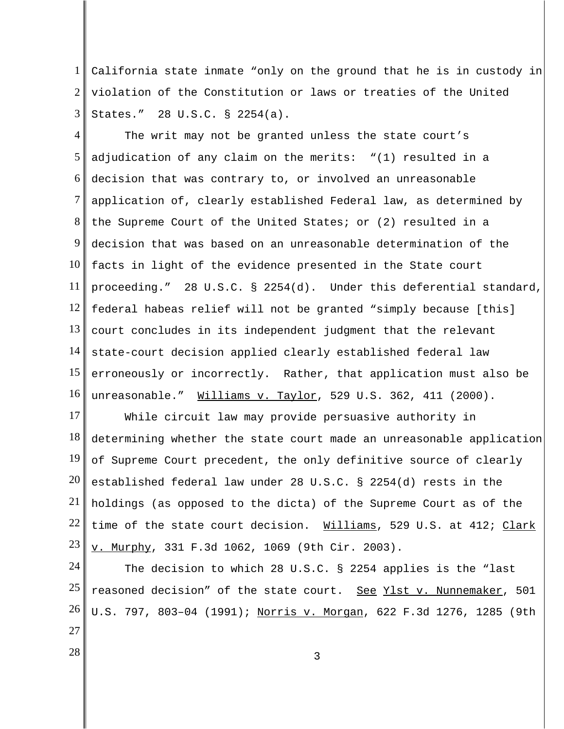1 2 3 California state inmate "only on the ground that he is in custody in violation of the Constitution or laws or treaties of the United States." 28 U.S.C. § 2254(a).

4 5 6 7 8 9 10 11 12 13 14 15 16 The writ may not be granted unless the state court's adjudication of any claim on the merits: "(1) resulted in a decision that was contrary to, or involved an unreasonable application of, clearly established Federal law, as determined by the Supreme Court of the United States; or (2) resulted in a decision that was based on an unreasonable determination of the facts in light of the evidence presented in the State court proceeding." 28 U.S.C. § 2254(d). Under this deferential standard, federal habeas relief will not be granted "simply because [this] court concludes in its independent judgment that the relevant state-court decision applied clearly established federal law erroneously or incorrectly. Rather, that application must also be unreasonable." Williams v. Taylor, 529 U.S. 362, 411 (2000).

17 18 19 20 21 22 23 While circuit law may provide persuasive authority in determining whether the state court made an unreasonable application of Supreme Court precedent, the only definitive source of clearly established federal law under 28 U.S.C. § 2254(d) rests in the holdings (as opposed to the dicta) of the Supreme Court as of the time of the state court decision. Williams, 529 U.S. at 412; Clark v. Murphy, 331 F.3d 1062, 1069 (9th Cir. 2003).

24 25 26 27 The decision to which 28 U.S.C. § 2254 applies is the "last reasoned decision" of the state court. See Ylst v. Nunnemaker, 501 U.S. 797, 803–04 (1991); Norris v. Morgan, 622 F.3d 1276, 1285 (9th

 $\begin{array}{|c|c|c|c|c|}\n \hline\n 28 & 3 \\
 \hline\n \end{array}$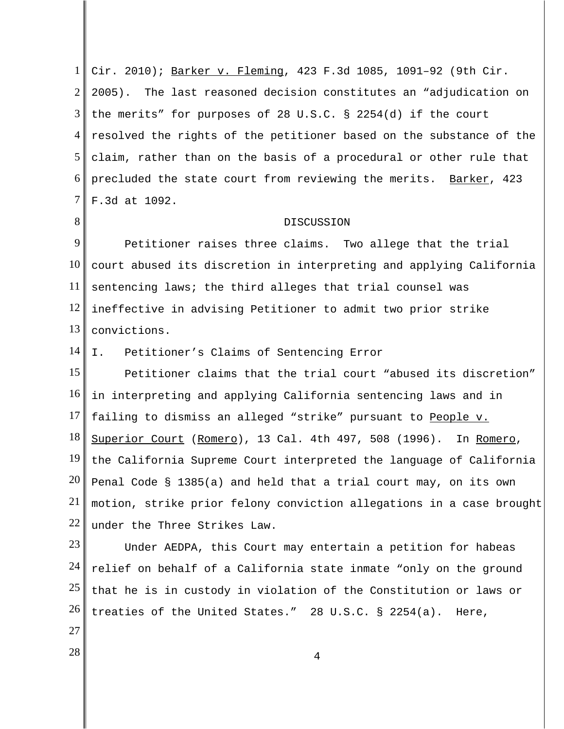1 2 3 4 5 6 7 Cir. 2010); Barker v. Fleming, 423 F.3d 1085, 1091–92 (9th Cir. 2005). The last reasoned decision constitutes an "adjudication on the merits" for purposes of 28 U.S.C. § 2254(d) if the court resolved the rights of the petitioner based on the substance of the claim, rather than on the basis of a procedural or other rule that precluded the state court from reviewing the merits. Barker, 423 F.3d at 1092.

## DISCUSSION

9 10 11 12 13 Petitioner raises three claims. Two allege that the trial court abused its discretion in interpreting and applying California sentencing laws; the third alleges that trial counsel was ineffective in advising Petitioner to admit two prior strike convictions.

14 I. Petitioner's Claims of Sentencing Error

15 16 17 18 19 20 21 22 Petitioner claims that the trial court "abused its discretion" in interpreting and applying California sentencing laws and in failing to dismiss an alleged "strike" pursuant to People v. Superior Court (Romero), 13 Cal. 4th 497, 508 (1996). In Romero, the California Supreme Court interpreted the language of California Penal Code § 1385(a) and held that a trial court may, on its own motion, strike prior felony conviction allegations in a case brought under the Three Strikes Law.

23 24 25 26 Under AEDPA, this Court may entertain a petition for habeas relief on behalf of a California state inmate "only on the ground that he is in custody in violation of the Constitution or laws or treaties of the United States." 28 U.S.C. § 2254(a). Here,

27

8

 $\begin{array}{|c|c|c|c|c|}\n \hline\n & 4 \\
 \hline\n \end{array}$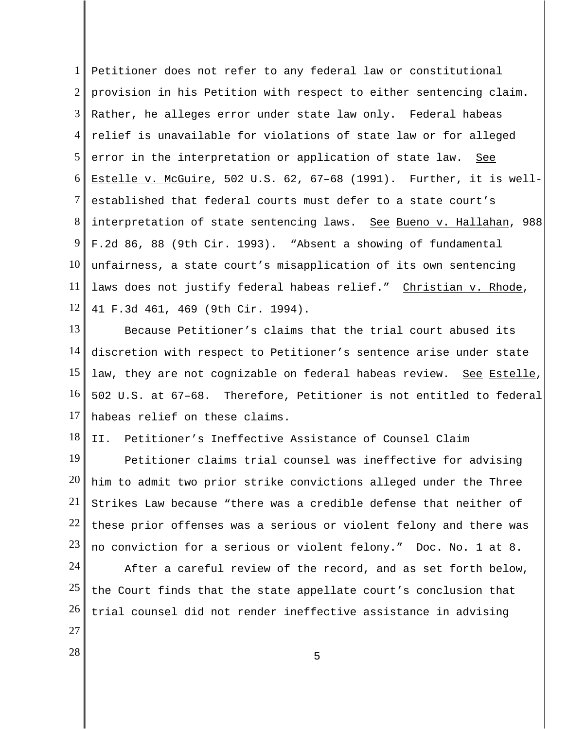1 2 3 4 5 6 7 8 9 10 11 12 Petitioner does not refer to any federal law or constitutional provision in his Petition with respect to either sentencing claim. Rather, he alleges error under state law only. Federal habeas relief is unavailable for violations of state law or for alleged error in the interpretation or application of state law. See Estelle v. McGuire, 502 U.S. 62, 67-68 (1991). Further, it is wellestablished that federal courts must defer to a state court's interpretation of state sentencing laws. See Bueno v. Hallahan, 988 F.2d 86, 88 (9th Cir. 1993). "Absent a showing of fundamental unfairness, a state court's misapplication of its own sentencing laws does not justify federal habeas relief." Christian v. Rhode, 41 F.3d 461, 469 (9th Cir. 1994).

13 14 15 16 17 Because Petitioner's claims that the trial court abused its discretion with respect to Petitioner's sentence arise under state law, they are not cognizable on federal habeas review. See Estelle, 502 U.S. at 67–68. Therefore, Petitioner is not entitled to federal habeas relief on these claims.

18 II. Petitioner's Ineffective Assistance of Counsel Claim

19 20 21 22 23 Petitioner claims trial counsel was ineffective for advising him to admit two prior strike convictions alleged under the Three Strikes Law because "there was a credible defense that neither of these prior offenses was a serious or violent felony and there was no conviction for a serious or violent felony." Doc. No. 1 at 8.

24 25 26 After a careful review of the record, and as set forth below, the Court finds that the state appellate court's conclusion that trial counsel did not render ineffective assistance in advising

- 27
- $\begin{array}{|c|c|c|c|c|c|}\n\hline\n& & & & 5 \\
\hline\n& 5 & & & 5\n\end{array}$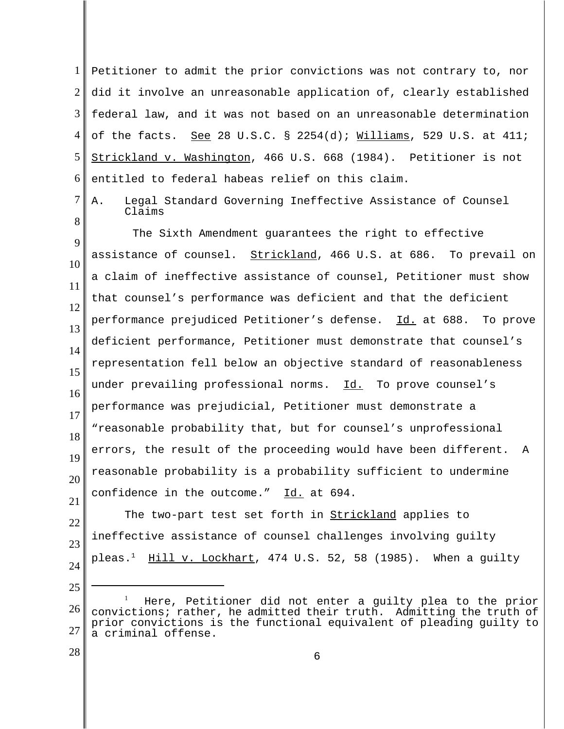1 2 3 4 5 6 Petitioner to admit the prior convictions was not contrary to, nor did it involve an unreasonable application of, clearly established federal law, and it was not based on an unreasonable determination of the facts. See 28 U.S.C. § 2254(d);  $Williams$ , 529 U.S. at 411; Strickland v. Washington, 466 U.S. 668 (1984). Petitioner is not entitled to federal habeas relief on this claim.

7

8

A. Legal Standard Governing Ineffective Assistance of Counsel Claims

9 10 11 12 13 14 15 16 17 18 19 20 21 The Sixth Amendment guarantees the right to effective assistance of counsel. Strickland, 466 U.S. at 686. To prevail on a claim of ineffective assistance of counsel, Petitioner must show that counsel's performance was deficient and that the deficient performance prejudiced Petitioner's defense. Id. at 688. To prove deficient performance, Petitioner must demonstrate that counsel's representation fell below an objective standard of reasonableness under prevailing professional norms. Id. To prove counsel's performance was prejudicial, Petitioner must demonstrate a "reasonable probability that, but for counsel's unprofessional errors, the result of the proceeding would have been different. A reasonable probability is a probability sufficient to undermine confidence in the outcome." Id. at 694.

22 23 24 The two-part test set forth in **Strickland** applies to ineffective assistance of counsel challenges involving guilty pleas.<sup>1</sup> Hill v. Lockhart, 474 U.S. 52, 58 (1985). When a quilty

- 26 27 1 Here, Petitioner did not enter a guilty plea to the prior convictions; rather, he admitted their truth. Admitting the truth of prior convictions is the functional equivalent of pleading guilty to a criminal offense.
- 28

25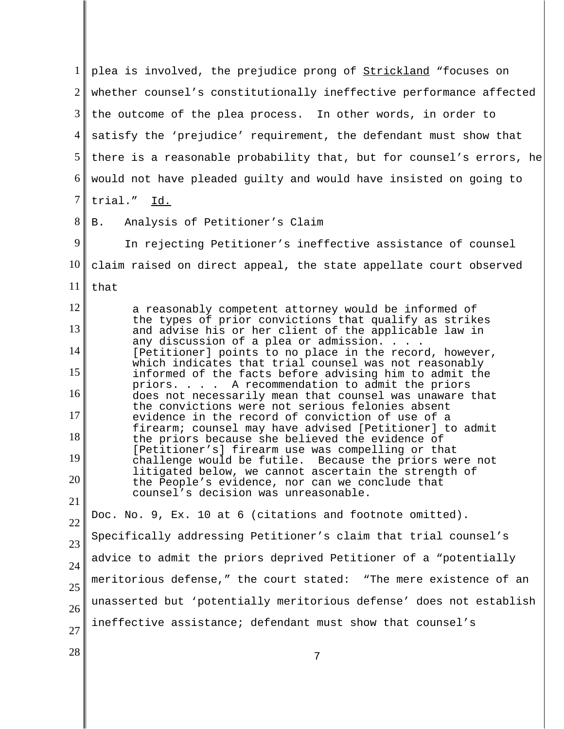1 2 3 4 5 6 7 8 9 10 11 12 13 14 15 16 17 18 19 20 21 22 23 24 25 26 27  $\begin{array}{c|c|c|c} 28 & & & & & 7 \end{array}$ plea is involved, the prejudice prong of Strickland "focuses on whether counsel's constitutionally ineffective performance affected the outcome of the plea process. In other words, in order to satisfy the 'prejudice' requirement, the defendant must show that there is a reasonable probability that, but for counsel's errors, he would not have pleaded guilty and would have insisted on going to trial." Id. B. Analysis of Petitioner's Claim In rejecting Petitioner's ineffective assistance of counsel claim raised on direct appeal, the state appellate court observed that a reasonably competent attorney would be informed of the types of prior convictions that qualify as strikes and advise his or her client of the applicable law in any discussion of a plea or admission. . . . [Petitioner] points to no place in the record, however, which indicates that trial counsel was not reasonably informed of the facts before advising him to admit the priors. . . . A recommendation to admit the priors does not necessarily mean that counsel was unaware that the convictions were not serious felonies absent evidence in the record of conviction of use of a firearm; counsel may have advised [Petitioner] to admit the priors because she believed the evidence of [Petitioner's] firearm use was compelling or that challenge would be futile. Because the priors were not litigated below, we cannot ascertain the strength of the People's evidence, nor can we conclude that counsel's decision was unreasonable. Doc. No. 9, Ex. 10 at 6 (citations and footnote omitted). Specifically addressing Petitioner's claim that trial counsel's advice to admit the priors deprived Petitioner of a "potentially meritorious defense," the court stated: "The mere existence of an unasserted but 'potentially meritorious defense' does not establish ineffective assistance; defendant must show that counsel's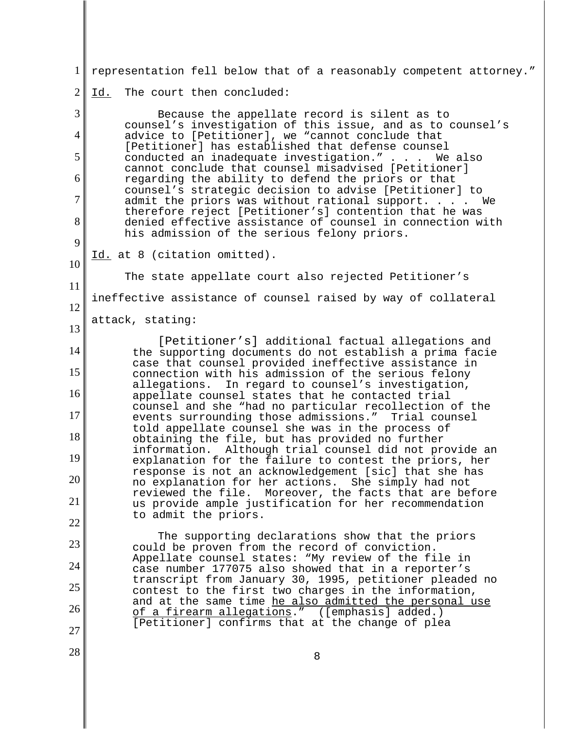| $1\vert$       | representation fell below that of a reasonably competent attorney."                                                                                                |
|----------------|--------------------------------------------------------------------------------------------------------------------------------------------------------------------|
| $\overline{2}$ | The court then concluded:<br>Id.                                                                                                                                   |
| 3              | Because the appellate record is silent as to                                                                                                                       |
| $\overline{4}$ | counsel's investigation of this issue, and as to counsel's<br>advice to [Petitioner], we "cannot conclude that                                                     |
| 5              | [Petitioner] has established that defense counsel<br>conducted an inadequate investigation." We also                                                               |
| 6              | cannot conclude that counsel misadvised [Petitioner]<br>regarding the ability to defend the priors or that                                                         |
| 7              | counsel's strategic decision to advise [Petitioner] to<br>admit the priors was without rational support. We                                                        |
| 8              | therefore reject [Petitioner's] contention that he was<br>denied effective assistance of counsel in connection with<br>his admission of the serious felony priors. |
| 9              | Id. at 8 (citation omitted).                                                                                                                                       |
| 10             | The state appellate court also rejected Petitioner's                                                                                                               |
| 11             | ineffective assistance of counsel raised by way of collateral                                                                                                      |
| 12             | attack, stating:                                                                                                                                                   |
| 13             | [Petitioner's] additional factual allegations and                                                                                                                  |
| 14             | the supporting documents do not establish a prima facie<br>case that counsel provided ineffective assistance in                                                    |
| 15             | connection with his admission of the serious felony<br>In regard to counsel's investigation,<br>allegations.                                                       |
| 16             | appellate counsel states that he contacted trial<br>counsel and she "had no particular recollection of the                                                         |
| 17             | events surrounding those admissions." Trial counsel<br>told appellate counsel she was in the process of                                                            |
| 18             | obtaining the file, but has provided no further<br>information. Although trial counsel did not provide an                                                          |
| 19             | explanation for the failure to contest the priors, her<br>response is not an acknowledgement [sic] that she has                                                    |
| 20             | no explanation for her actions. She simply had not<br>reviewed the file.<br>Moreover, the facts that are before                                                    |
| 21             | us provide ample justification for her recommendation<br>to admit the priors.                                                                                      |
| 22             | The supporting declarations show that the priors                                                                                                                   |
| 23             | could be proven from the record of conviction.<br>Appellate counsel states: "My review of the file in                                                              |
| 24             | case number 177075 also showed that in a reporter's<br>transcript from January 30, 1995, petitioner pleaded no                                                     |
| 25             | contest to the first two charges in the information,<br>and at the same time he also admitted the personal use                                                     |
| 26             | of a firearm allegations." ([emphasis] added.)<br>[Petitioner] confirms that at the change of plea                                                                 |
| 27             |                                                                                                                                                                    |
| 28             | 8                                                                                                                                                                  |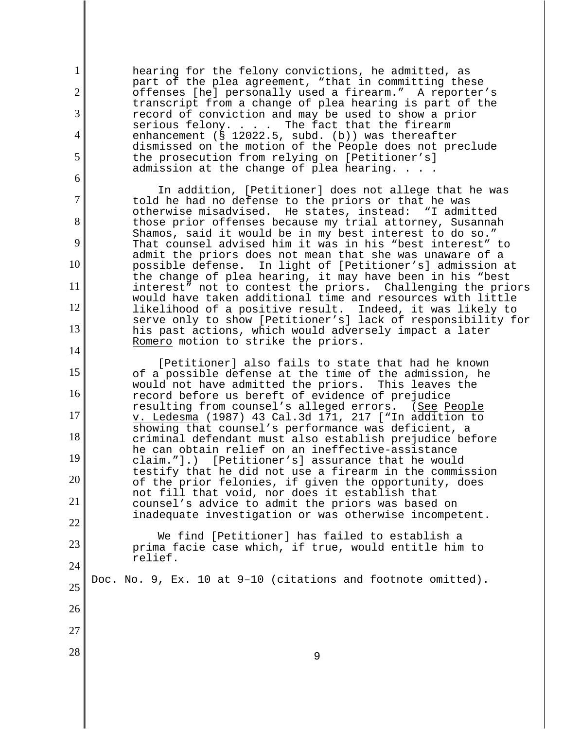1 2 3 4 5 6 7 8 9 10 11 12 13 14 15 16 17 18 19 20 21 22 23 24 25 26 27  $\begin{array}{c|c|c|c|c} \hline 28 & & \hline \end{array}$ hearing for the felony convictions, he admitted, as part of the plea agreement, "that in committing these offenses [he] personally used a firearm." A reporter's transcript from a change of plea hearing is part of the record of conviction and may be used to show a prior serious felony. . . . The fact that the firearm enhancement (§ 12022.5, subd. (b)) was thereafter dismissed on the motion of the People does not preclude the prosecution from relying on [Petitioner's] admission at the change of plea hearing. . . . In addition, [Petitioner] does not allege that he was told he had no defense to the priors or that he was<br>otherwise misadvised. He states, instead: "I admitted otherwise misadvised. He states, instead: those prior offenses because my trial attorney, Susannah Shamos, said it would be in my best interest to do so." That counsel advised him it was in his "best interest" to admit the priors does not mean that she was unaware of a possible defense. In light of [Petitioner's] admission at the change of plea hearing, it may have been in his "best interest" not to contest the priors. Challenging the priors would have taken additional time and resources with little<br>likelihood of a positive result. Indeed, it was likely to likelihood of a positive result. serve only to show [Petitioner's] lack of responsibility for his past actions, which would adversely impact a later Romero motion to strike the priors. [Petitioner] also fails to state that had he known of a possible defense at the time of the admission, he would not have admitted the priors. This leaves the record before us bereft of evidence of prejudice resulting from counsel's alleged errors. (See People v. Ledesma (1987) 43 Cal.3d 171, 217 ["In addition to showing that counsel's performance was deficient, a criminal defendant must also establish prejudice before he can obtain relief on an ineffective-assistance claim."].) [Petitioner's] assurance that he would testify that he did not use a firearm in the commission of the prior felonies, if given the opportunity, does not fill that void, nor does it establish that counsel's advice to admit the priors was based on inadequate investigation or was otherwise incompetent. We find [Petitioner] has failed to establish a prima facie case which, if true, would entitle him to relief. Doc. No. 9, Ex. 10 at 9–10 (citations and footnote omitted).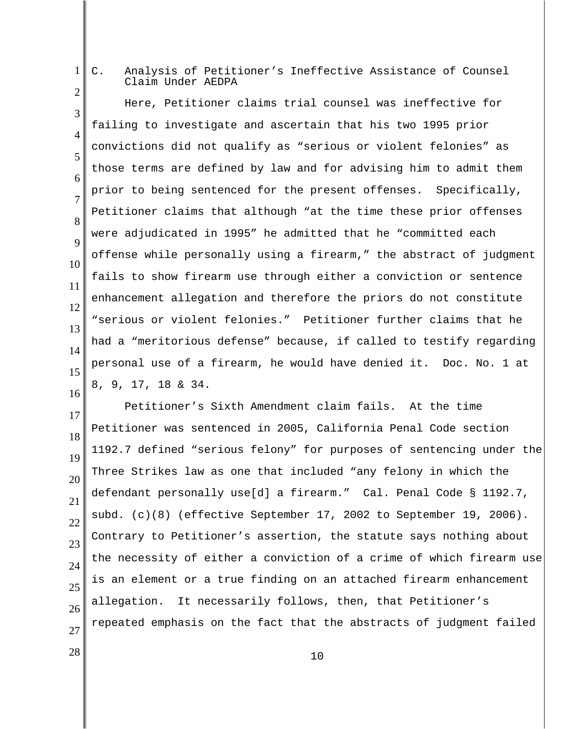C. Analysis of Petitioner's Ineffective Assistance of Counsel Claim Under AEDPA

3 4 5 6 7 8 9 10 11 12 13 14 15 Here, Petitioner claims trial counsel was ineffective for failing to investigate and ascertain that his two 1995 prior convictions did not qualify as "serious or violent felonies" as those terms are defined by law and for advising him to admit them prior to being sentenced for the present offenses. Specifically, Petitioner claims that although "at the time these prior offenses were adjudicated in 1995" he admitted that he "committed each offense while personally using a firearm," the abstract of judgment fails to show firearm use through either a conviction or sentence enhancement allegation and therefore the priors do not constitute "serious or violent felonies." Petitioner further claims that he had a "meritorious defense" because, if called to testify regarding personal use of a firearm, he would have denied it. Doc. No. 1 at 8, 9, 17, 18 & 34.

17 18 19 20 21 22 23 24 25 26 27 Petitioner's Sixth Amendment claim fails. At the time Petitioner was sentenced in 2005, California Penal Code section 1192.7 defined "serious felony" for purposes of sentencing under the Three Strikes law as one that included "any felony in which the defendant personally use[d] a firearm." Cal. Penal Code § 1192.7, subd. (c)(8) (effective September 17, 2002 to September 19, 2006). Contrary to Petitioner's assertion, the statute says nothing about the necessity of either a conviction of a crime of which firearm use is an element or a true finding on an attached firearm enhancement allegation. It necessarily follows, then, that Petitioner's repeated emphasis on the fact that the abstracts of judgment failed

16

1

2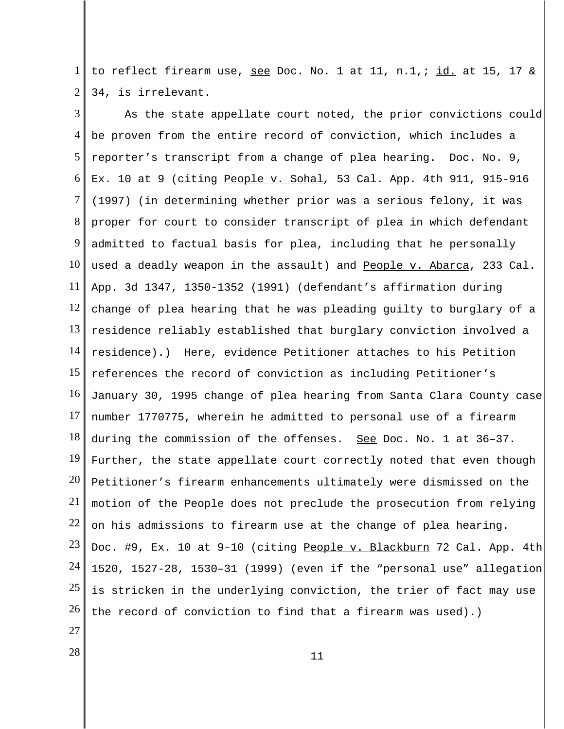1 2 to reflect firearm use, see Doc. No. 1 at 11, n.1,; id. at 15, 17 & 34, is irrelevant.

3 4 5 6 7 8 9 10 11 12 13 14 15 16 17 18 19 20 21 22 23 24 25 26 27 As the state appellate court noted, the prior convictions could be proven from the entire record of conviction, which includes a reporter's transcript from a change of plea hearing. Doc. No. 9, Ex. 10 at 9 (citing People v. Sohal*,* 53 Cal. App. 4th 911, 915-916 (1997) (in determining whether prior was a serious felony, it was proper for court to consider transcript of plea in which defendant admitted to factual basis for plea, including that he personally used a deadly weapon in the assault) and People v. Abarca, 233 Cal. App. 3d 1347, 1350-1352 (1991) (defendant's affirmation during change of plea hearing that he was pleading guilty to burglary of a residence reliably established that burglary conviction involved a residence).) Here, evidence Petitioner attaches to his Petition references the record of conviction as including Petitioner's January 30, 1995 change of plea hearing from Santa Clara County case number 1770775, wherein he admitted to personal use of a firearm during the commission of the offenses. See Doc. No. 1 at 36-37. Further, the state appellate court correctly noted that even though Petitioner's firearm enhancements ultimately were dismissed on the motion of the People does not preclude the prosecution from relying on his admissions to firearm use at the change of plea hearing. Doc. #9, Ex. 10 at 9-10 (citing People v. Blackburn 72 Cal. App. 4th 1520, 1527-28, 1530–31 (1999) (even if the "personal use" allegation is stricken in the underlying conviction, the trier of fact may use the record of conviction to find that a firearm was used).)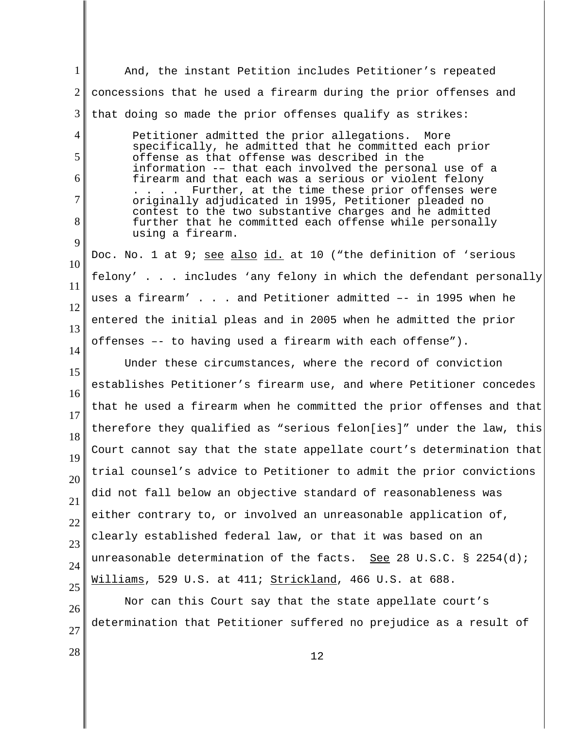1 2 3 4 5 6 7 8 9 10 11 12 13 14 15 16 17 18 19 20 21 22 23 24 25 26 27 And, the instant Petition includes Petitioner's repeated concessions that he used a firearm during the prior offenses and that doing so made the prior offenses qualify as strikes: Petitioner admitted the prior allegations. More specifically, he admitted that he committed each prior offense as that offense was described in the information -– that each involved the personal use of a firearm and that each was a serious or violent felony . . . . Further, at the time these prior offenses were originally adjudicated in 1995, Petitioner pleaded no contest to the two substantive charges and he admitted further that he committed each offense while personally using a firearm. Doc. No. 1 at 9; see also id. at 10 ("the definition of 'serious felony' . . . includes 'any felony in which the defendant personally uses a firearm' . . . and Petitioner admitted -- in 1995 when he entered the initial pleas and in 2005 when he admitted the prior offenses –- to having used a firearm with each offense"). Under these circumstances, where the record of conviction establishes Petitioner's firearm use, and where Petitioner concedes that he used a firearm when he committed the prior offenses and that therefore they qualified as "serious felon[ies]" under the law, this Court cannot say that the state appellate court's determination that trial counsel's advice to Petitioner to admit the prior convictions did not fall below an objective standard of reasonableness was either contrary to, or involved an unreasonable application of, clearly established federal law, or that it was based on an unreasonable determination of the facts. See 28 U.S.C. § 2254(d); Williams, 529 U.S. at 411; Strickland, 466 U.S. at 688. Nor can this Court say that the state appellate court's determination that Petitioner suffered no prejudice as a result of

 $\begin{array}{|c|c|c|c|}\n\hline\n28 & 12 \\
\hline\n\end{array}$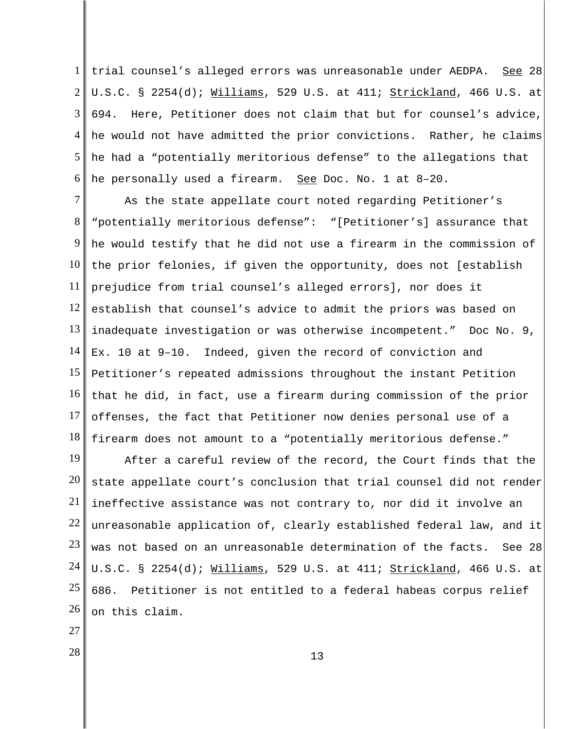1 2 3 4 5 6 trial counsel's alleged errors was unreasonable under AEDPA. See 28 U.S.C. § 2254(d); Williams, 529 U.S. at 411; Strickland, 466 U.S. at 694. Here, Petitioner does not claim that but for counsel's advice, he would not have admitted the prior convictions. Rather, he claims he had a "potentially meritorious defense" to the allegations that he personally used a firearm. See Doc. No. 1 at 8–20.

7 8 9 10 11 12 13 14 15 16 17 18 As the state appellate court noted regarding Petitioner's "potentially meritorious defense": "[Petitioner's] assurance that he would testify that he did not use a firearm in the commission of the prior felonies, if given the opportunity, does not [establish prejudice from trial counsel's alleged errors], nor does it establish that counsel's advice to admit the priors was based on inadequate investigation or was otherwise incompetent." Doc No. 9, Ex. 10 at 9–10. Indeed, given the record of conviction and Petitioner's repeated admissions throughout the instant Petition that he did, in fact, use a firearm during commission of the prior offenses, the fact that Petitioner now denies personal use of a firearm does not amount to a "potentially meritorious defense."

19 20 21 22 23 24 25 26 After a careful review of the record, the Court finds that the state appellate court's conclusion that trial counsel did not render ineffective assistance was not contrary to, nor did it involve an unreasonable application of, clearly established federal law, and it was not based on an unreasonable determination of the facts. See 28 U.S.C. § 2254(d); Williams, 529 U.S. at 411; Strickland, 466 U.S. at 686. Petitioner is not entitled to a federal habeas corpus relief on this claim.

- 27
-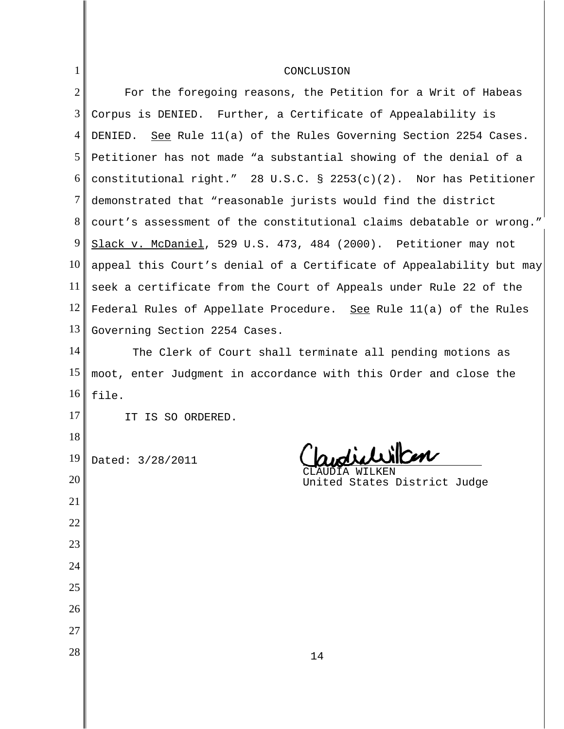| 1              | CONCLUSION                                                           |
|----------------|----------------------------------------------------------------------|
| $\overline{2}$ | For the foregoing reasons, the Petition for a Writ of Habeas         |
| 3              | Corpus is DENIED. Further, a Certificate of Appealability is         |
| 4              | DENIED. See Rule 11(a) of the Rules Governing Section 2254 Cases.    |
| 5              | Petitioner has not made "a substantial showing of the denial of a    |
| 6              | constitutional right." 28 U.S.C. § 2253(c)(2). Nor has Petitioner    |
| $\tau$         | demonstrated that "reasonable jurists would find the district        |
| 8              | court's assessment of the constitutional claims debatable or wrong." |
| 9              | Slack v. McDaniel, 529 U.S. 473, 484 (2000). Petitioner may not      |
| 10             | appeal this Court's denial of a Certificate of Appealability but may |
| 11             | seek a certificate from the Court of Appeals under Rule 22 of the    |
| 12             | Federal Rules of Appellate Procedure. See Rule 11(a) of the Rules    |
| 13             | Governing Section 2254 Cases.                                        |
| 14             | The Clerk of Court shall terminate all pending motions as            |
| 15             | moot, enter Judgment in accordance with this Order and close the     |
| 16             | file.                                                                |
| 17             | IT IS SO ORDERED.                                                    |
| 18             |                                                                      |
| 19             | Claudichillion<br>Dated: 3/28/2011<br>CLAUDIA WILKEN                 |
| 20             | United States District Judge                                         |
| 21             |                                                                      |
| 22             |                                                                      |
| 23             |                                                                      |
| 24             |                                                                      |
| 25             |                                                                      |
| 26             |                                                                      |
| 27             |                                                                      |
| 28             | 14                                                                   |